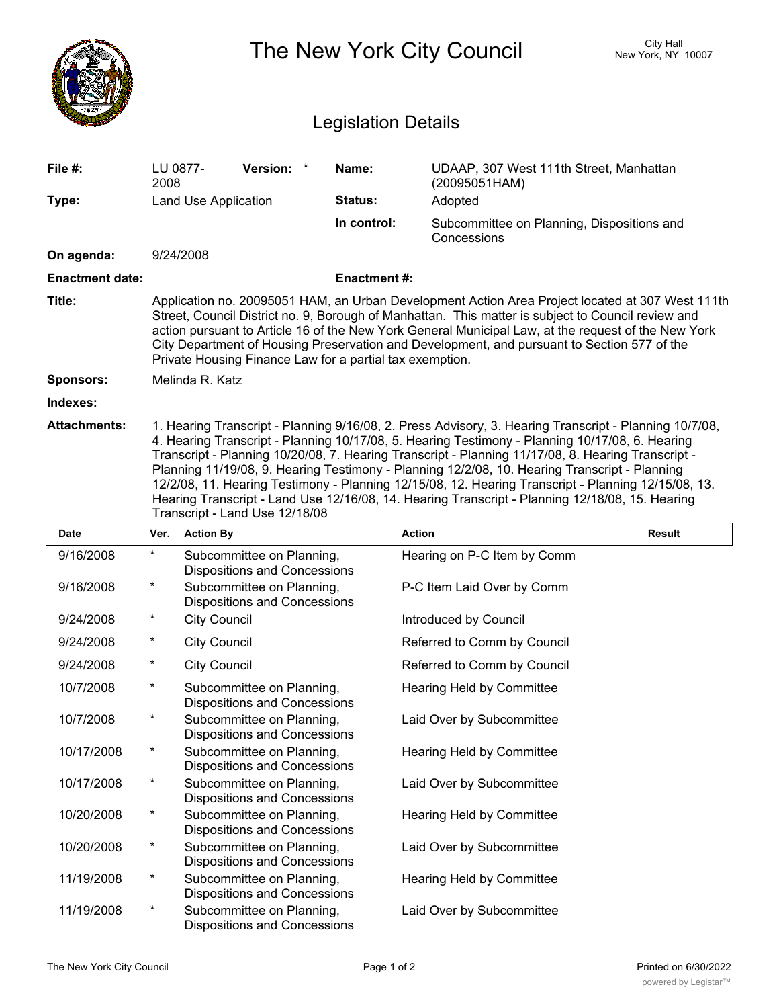|                            | The New York City Council                                                                                                                                                                                                                                                                                                                                                                                                                                                                                                                                                                                                                                    |                                                                  |                    |                                                           | City Hall<br>New York, NY 10007 |  |
|----------------------------|--------------------------------------------------------------------------------------------------------------------------------------------------------------------------------------------------------------------------------------------------------------------------------------------------------------------------------------------------------------------------------------------------------------------------------------------------------------------------------------------------------------------------------------------------------------------------------------------------------------------------------------------------------------|------------------------------------------------------------------|--------------------|-----------------------------------------------------------|---------------------------------|--|
| <b>Legislation Details</b> |                                                                                                                                                                                                                                                                                                                                                                                                                                                                                                                                                                                                                                                              |                                                                  |                    |                                                           |                                 |  |
| File #:                    | LU 0877-<br>2008                                                                                                                                                                                                                                                                                                                                                                                                                                                                                                                                                                                                                                             | <b>Version:</b>                                                  | Name:              | UDAAP, 307 West 111th Street, Manhattan<br>(20095051HAM)  |                                 |  |
| Type:                      |                                                                                                                                                                                                                                                                                                                                                                                                                                                                                                                                                                                                                                                              | Land Use Application                                             | Status:            | Adopted                                                   |                                 |  |
|                            |                                                                                                                                                                                                                                                                                                                                                                                                                                                                                                                                                                                                                                                              |                                                                  | In control:        | Subcommittee on Planning, Dispositions and<br>Concessions |                                 |  |
| On agenda:                 |                                                                                                                                                                                                                                                                                                                                                                                                                                                                                                                                                                                                                                                              | 9/24/2008                                                        |                    |                                                           |                                 |  |
| <b>Enactment date:</b>     |                                                                                                                                                                                                                                                                                                                                                                                                                                                                                                                                                                                                                                                              |                                                                  | <b>Enactment#:</b> |                                                           |                                 |  |
| Title:                     | Application no. 20095051 HAM, an Urban Development Action Area Project located at 307 West 111th<br>Street, Council District no. 9, Borough of Manhattan. This matter is subject to Council review and<br>action pursuant to Article 16 of the New York General Municipal Law, at the request of the New York<br>City Department of Housing Preservation and Development, and pursuant to Section 577 of the<br>Private Housing Finance Law for a partial tax exemption.                                                                                                                                                                                     |                                                                  |                    |                                                           |                                 |  |
| <b>Sponsors:</b>           |                                                                                                                                                                                                                                                                                                                                                                                                                                                                                                                                                                                                                                                              | Melinda R. Katz                                                  |                    |                                                           |                                 |  |
| Indexes:                   |                                                                                                                                                                                                                                                                                                                                                                                                                                                                                                                                                                                                                                                              |                                                                  |                    |                                                           |                                 |  |
| <b>Attachments:</b>        | 1. Hearing Transcript - Planning 9/16/08, 2. Press Advisory, 3. Hearing Transcript - Planning 10/7/08,<br>4. Hearing Transcript - Planning 10/17/08, 5. Hearing Testimony - Planning 10/17/08, 6. Hearing<br>Transcript - Planning 10/20/08, 7. Hearing Transcript - Planning 11/17/08, 8. Hearing Transcript -<br>Planning 11/19/08, 9. Hearing Testimony - Planning 12/2/08, 10. Hearing Transcript - Planning<br>12/2/08, 11. Hearing Testimony - Planning 12/15/08, 12. Hearing Transcript - Planning 12/15/08, 13.<br>Hearing Transcript - Land Use 12/16/08, 14. Hearing Transcript - Planning 12/18/08, 15. Hearing<br>Transcript - Land Use 12/18/08 |                                                                  |                    |                                                           |                                 |  |
| Date                       | Ver.                                                                                                                                                                                                                                                                                                                                                                                                                                                                                                                                                                                                                                                         | <b>Action By</b>                                                 |                    | <b>Action</b>                                             | Result                          |  |
| 9/16/2008                  | *                                                                                                                                                                                                                                                                                                                                                                                                                                                                                                                                                                                                                                                            | Subcommittee on Planning,<br><b>Dispositions and Concessions</b> |                    | Hearing on P-C Item by Comm                               |                                 |  |
| 9/16/2008                  |                                                                                                                                                                                                                                                                                                                                                                                                                                                                                                                                                                                                                                                              | Subcommittee on Planning,<br>Dispositions and Concessions        |                    | P-C Item Laid Over by Comm                                |                                 |  |
| 9/24/2008                  | *                                                                                                                                                                                                                                                                                                                                                                                                                                                                                                                                                                                                                                                            | <b>City Council</b>                                              |                    | Introduced by Council                                     |                                 |  |
| 9/24/2008                  | *                                                                                                                                                                                                                                                                                                                                                                                                                                                                                                                                                                                                                                                            | <b>City Council</b>                                              |                    | Referred to Comm by Council                               |                                 |  |
| 9/24/2008                  | *                                                                                                                                                                                                                                                                                                                                                                                                                                                                                                                                                                                                                                                            | <b>City Council</b>                                              |                    | Referred to Comm by Council                               |                                 |  |
| 10/7/2008                  | $^\star$                                                                                                                                                                                                                                                                                                                                                                                                                                                                                                                                                                                                                                                     | Subcommittee on Planning,<br><b>Dispositions and Concessions</b> |                    | Hearing Held by Committee                                 |                                 |  |
| 10/7/2008                  | $\ast$                                                                                                                                                                                                                                                                                                                                                                                                                                                                                                                                                                                                                                                       | Subcommittee on Planning,<br><b>Dispositions and Concessions</b> |                    | Laid Over by Subcommittee                                 |                                 |  |
| 10/17/2008                 | $^\star$                                                                                                                                                                                                                                                                                                                                                                                                                                                                                                                                                                                                                                                     | Subcommittee on Planning,<br><b>Dispositions and Concessions</b> |                    | Hearing Held by Committee                                 |                                 |  |
| 10/17/2008                 | $^\star$                                                                                                                                                                                                                                                                                                                                                                                                                                                                                                                                                                                                                                                     | Subcommittee on Planning,<br><b>Dispositions and Concessions</b> |                    | Laid Over by Subcommittee                                 |                                 |  |
| 10/20/2008                 | $^\star$                                                                                                                                                                                                                                                                                                                                                                                                                                                                                                                                                                                                                                                     | Subcommittee on Planning,<br><b>Dispositions and Concessions</b> |                    | Hearing Held by Committee                                 |                                 |  |
| 10/20/2008                 | $^\star$                                                                                                                                                                                                                                                                                                                                                                                                                                                                                                                                                                                                                                                     | Subcommittee on Planning,<br><b>Dispositions and Concessions</b> |                    | Laid Over by Subcommittee                                 |                                 |  |
| 11/19/2008                 | $^\star$                                                                                                                                                                                                                                                                                                                                                                                                                                                                                                                                                                                                                                                     | Subcommittee on Planning,<br><b>Dispositions and Concessions</b> |                    | Hearing Held by Committee                                 |                                 |  |
| 11/19/2008                 | $^\star$                                                                                                                                                                                                                                                                                                                                                                                                                                                                                                                                                                                                                                                     | Subcommittee on Planning,<br><b>Dispositions and Concessions</b> |                    | Laid Over by Subcommittee                                 |                                 |  |